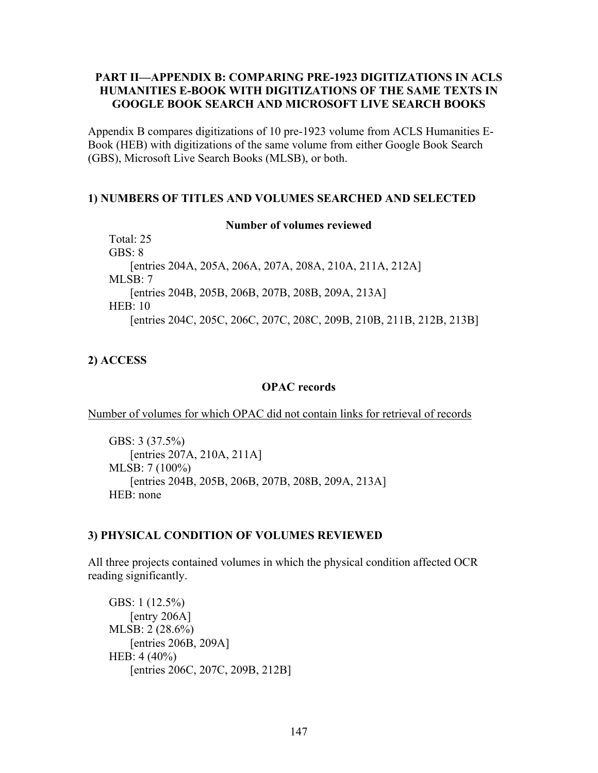## **PART II—APPENDIX B: COMPARING PRE-1923 DIGITIZATIONS IN ACLS HUMANITIES E-BOOK WITH DIGITIZATIONS OF THE SAME TEXTS IN GOOGLE BOOK SEARCH AND MICROSOFT LIVE SEARCH BOOKS**

Appendix B compares digitizations of 10 pre-1923 volume from ACLS Humanities E-Book (HEB) with digitizations of the same volume from either Google Book Search (GBS), Microsoft Live Search Books (MLSB), or both.

## **1) NUMBERS OF TITLES AND VOLUMES SEARCHED AND SELECTED**

#### **Number of volumes reviewed**

Total: 25 GBS: 8 [entries 204A, 205A, 206A, 207A, 208A, 210A, 211A, 212A] MLSB: 7 [entries 204B, 205B, 206B, 207B, 208B, 209A, 213A] HEB: 10 [entries 204C, 205C, 206C, 207C, 208C, 209B, 210B, 211B, 212B, 213B]

# **2) ACCESS**

## **OPAC records**

Number of volumes for which OPAC did not contain links for retrieval of records

GBS: 3 (37.5%) [entries 207A, 210A, 211A] MLSB: 7 (100%) [entries 204B, 205B, 206B, 207B, 208B, 209A, 213A] HEB: none

# **3) PHYSICAL CONDITION OF VOLUMES REVIEWED**

All three projects contained volumes in which the physical condition affected OCR reading significantly.

GBS: 1 (12.5%) [entry 206A] MLSB: 2 (28.6%) [entries 206B, 209A] HEB: 4 (40%) [entries 206C, 207C, 209B, 212B]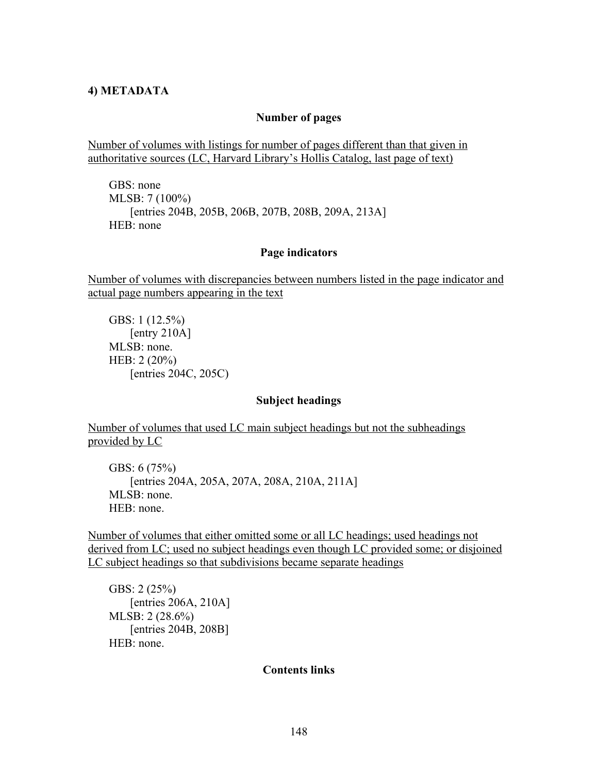## **4) METADATA**

#### **Number of pages**

Number of volumes with listings for number of pages different than that given in authoritative sources (LC, Harvard Library's Hollis Catalog, last page of text)

GBS: none MLSB: 7 (100%) [entries 204B, 205B, 206B, 207B, 208B, 209A, 213A] HEB: none

## **Page indicators**

Number of volumes with discrepancies between numbers listed in the page indicator and actual page numbers appearing in the text

GBS: 1 (12.5%) [entry 210A] MLSB: none. HEB: 2 (20%) [entries 204C, 205C)

#### **Subject headings**

Number of volumes that used LC main subject headings but not the subheadings provided by LC

GBS: 6 (75%) [entries 204A, 205A, 207A, 208A, 210A, 211A] MLSB: none. HEB: none.

Number of volumes that either omitted some or all LC headings; used headings not derived from LC; used no subject headings even though LC provided some; or disjoined LC subject headings so that subdivisions became separate headings

GBS: 2 (25%) [entries 206A, 210A] MLSB: 2 (28.6%) [entries 204B, 208B] HEB: none.

**Contents links**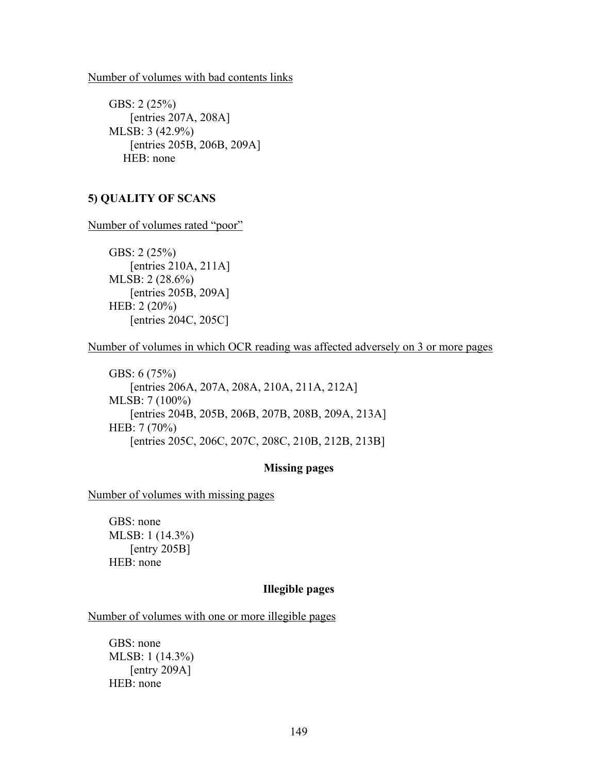#### Number of volumes with bad contents links

GBS: 2 (25%) [entries 207A, 208A] MLSB: 3 (42.9%) [entries 205B, 206B, 209A] HEB: none

# **5) QUALITY OF SCANS**

Number of volumes rated "poor"

GBS: 2 (25%) [entries 210A, 211A] MLSB: 2 (28.6%) [entries 205B, 209A] HEB: 2 (20%) [entries 204C, 205C]

Number of volumes in which OCR reading was affected adversely on 3 or more pages

GBS: 6 (75%) [entries 206A, 207A, 208A, 210A, 211A, 212A] MLSB: 7 (100%) [entries 204B, 205B, 206B, 207B, 208B, 209A, 213A] HEB: 7 (70%) [entries 205C, 206C, 207C, 208C, 210B, 212B, 213B]

# **Missing pages**

Number of volumes with missing pages

GBS: none MLSB: 1 (14.3%) [entry 205B] HEB: none

# **Illegible pages**

Number of volumes with one or more illegible pages

GBS: none MLSB: 1 (14.3%) [entry 209A] HEB: none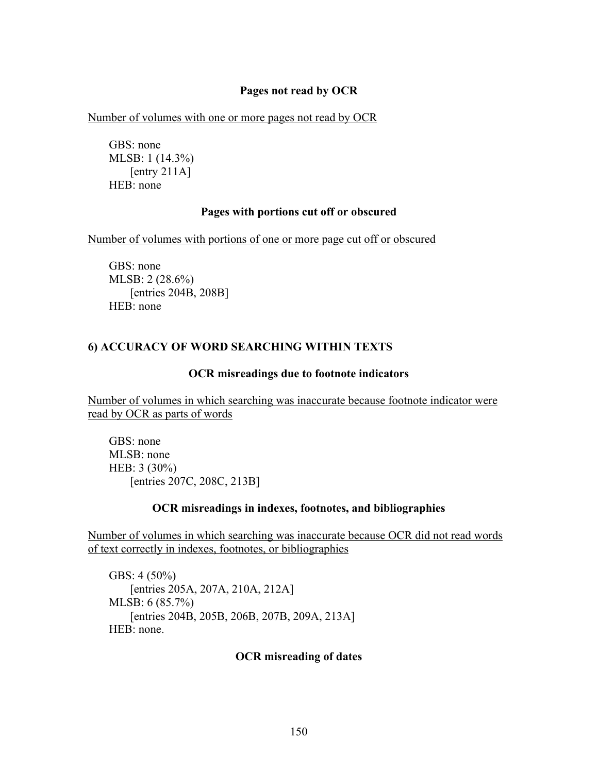## **Pages not read by OCR**

Number of volumes with one or more pages not read by OCR

GBS: none MLSB: 1 (14.3%) [entry 211A] HEB: none

## **Pages with portions cut off or obscured**

Number of volumes with portions of one or more page cut off or obscured

GBS: none MLSB: 2 (28.6%) [entries 204B, 208B] HEB: none

## **6) ACCURACY OF WORD SEARCHING WITHIN TEXTS**

#### **OCR misreadings due to footnote indicators**

Number of volumes in which searching was inaccurate because footnote indicator were read by OCR as parts of words

GBS: none MLSB: none HEB: 3 (30%) [entries 207C, 208C, 213B]

#### **OCR misreadings in indexes, footnotes, and bibliographies**

Number of volumes in which searching was inaccurate because OCR did not read words of text correctly in indexes, footnotes, or bibliographies

GBS: 4 (50%) [entries 205A, 207A, 210A, 212A] MLSB: 6 (85.7%) [entries 204B, 205B, 206B, 207B, 209A, 213A] HEB: none.

## **OCR misreading of dates**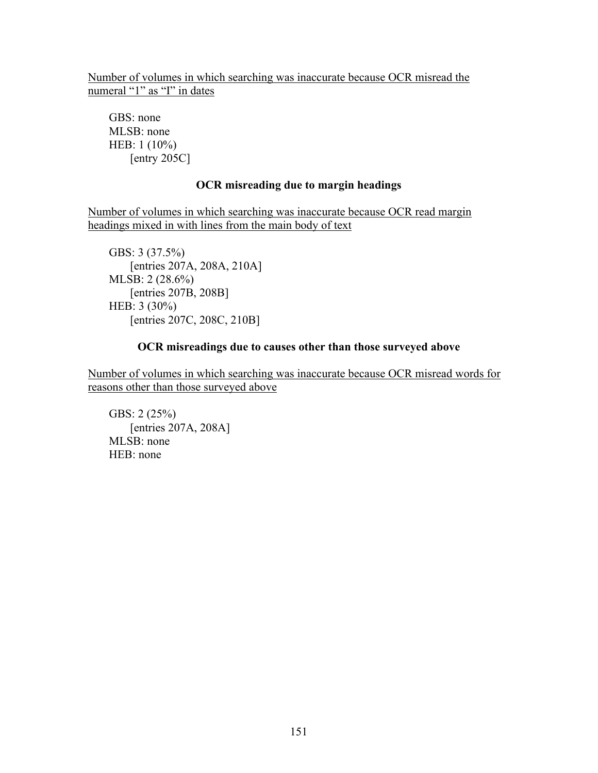Number of volumes in which searching was inaccurate because OCR misread the numeral "1" as "I" in dates

GBS: none MLSB: none HEB: 1 (10%)  $[$ entry 205C $]$ 

## **OCR misreading due to margin headings**

Number of volumes in which searching was inaccurate because OCR read margin headings mixed in with lines from the main body of text

GBS: 3 (37.5%) [entries 207A, 208A, 210A] MLSB: 2 (28.6%) [entries 207B, 208B] HEB: 3 (30%) [entries 207C, 208C, 210B]

## **OCR misreadings due to causes other than those surveyed above**

Number of volumes in which searching was inaccurate because OCR misread words for reasons other than those surveyed above

GBS: 2 (25%) [entries 207A, 208A] MLSB: none HEB: none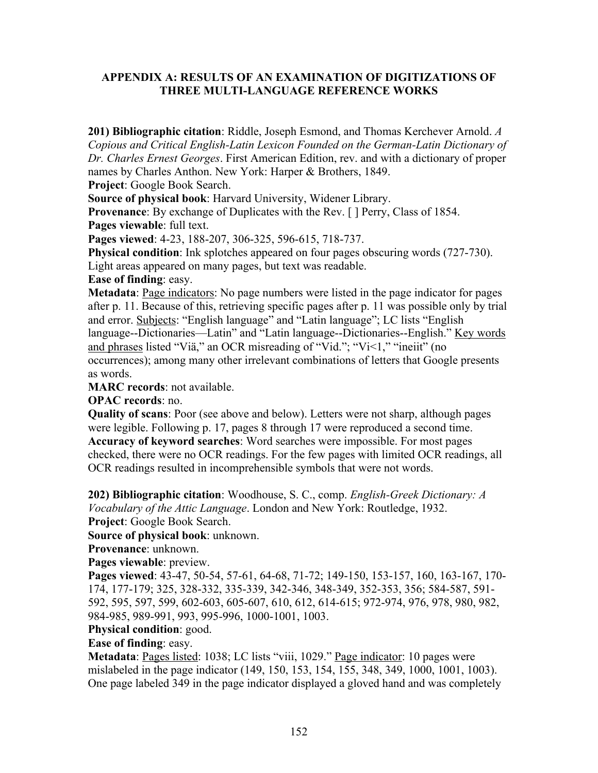# **APPENDIX A: RESULTS OF AN EXAMINATION OF DIGITIZATIONS OF THREE MULTI-LANGUAGE REFERENCE WORKS**

**201) Bibliographic citation**: Riddle, Joseph Esmond, and Thomas Kerchever Arnold. *A Copious and Critical English-Latin Lexicon Founded on the German-Latin Dictionary of Dr. Charles Ernest Georges*. First American Edition, rev. and with a dictionary of proper names by Charles Anthon. New York: Harper & Brothers, 1849.

**Project**: Google Book Search.

**Source of physical book**: Harvard University, Widener Library.

**Provenance**: By exchange of Duplicates with the Rev. [ ] Perry, Class of 1854. **Pages viewable**: full text.

**Pages viewed**: 4-23, 188-207, 306-325, 596-615, 718-737.

**Physical condition**: Ink splotches appeared on four pages obscuring words (727-730). Light areas appeared on many pages, but text was readable.

**Ease of finding**: easy.

**Metadata**: Page indicators: No page numbers were listed in the page indicator for pages after p. 11. Because of this, retrieving specific pages after p. 11 was possible only by trial and error. Subjects: "English language" and "Latin language"; LC lists "English language--Dictionaries—Latin" and "Latin language--Dictionaries--English." Key words and phrases listed "Viä," an OCR misreading of "Vid."; "Vi<1," "ineiit" (no occurrences); among many other irrelevant combinations of letters that Google presents as words.

**MARC records**: not available.

**OPAC records**: no.

**Quality of scans**: Poor (see above and below). Letters were not sharp, although pages were legible. Following p. 17, pages 8 through 17 were reproduced a second time. **Accuracy of keyword searches**: Word searches were impossible. For most pages checked, there were no OCR readings. For the few pages with limited OCR readings, all OCR readings resulted in incomprehensible symbols that were not words.

**202) Bibliographic citation**: Woodhouse, S. C., comp. *English-Greek Dictionary: A Vocabulary of the Attic Language*. London and New York: Routledge, 1932. **Project**: Google Book Search.

**Source of physical book**: unknown.

**Provenance**: unknown.

**Pages viewable**: preview.

**Pages viewed**: 43-47, 50-54, 57-61, 64-68, 71-72; 149-150, 153-157, 160, 163-167, 170- 174, 177-179; 325, 328-332, 335-339, 342-346, 348-349, 352-353, 356; 584-587, 591- 592, 595, 597, 599, 602-603, 605-607, 610, 612, 614-615; 972-974, 976, 978, 980, 982, 984-985, 989-991, 993, 995-996, 1000-1001, 1003.

# **Physical condition**: good.

## **Ease of finding**: easy.

**Metadata**: Pages listed: 1038; LC lists "viii, 1029." Page indicator: 10 pages were mislabeled in the page indicator (149, 150, 153, 154, 155, 348, 349, 1000, 1001, 1003). One page labeled 349 in the page indicator displayed a gloved hand and was completely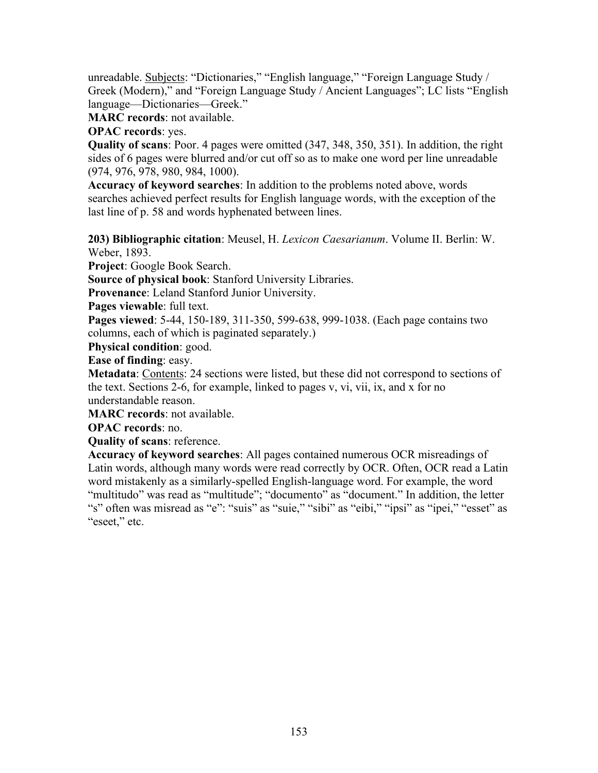unreadable. Subjects: "Dictionaries," "English language," "Foreign Language Study / Greek (Modern)," and "Foreign Language Study / Ancient Languages"; LC lists "English language—Dictionaries—Greek."

**MARC records**: not available.

**OPAC records**: yes.

**Quality of scans**: Poor. 4 pages were omitted (347, 348, 350, 351). In addition, the right sides of 6 pages were blurred and/or cut off so as to make one word per line unreadable (974, 976, 978, 980, 984, 1000).

**Accuracy of keyword searches**: In addition to the problems noted above, words searches achieved perfect results for English language words, with the exception of the last line of p. 58 and words hyphenated between lines.

**203) Bibliographic citation**: Meusel, H. *Lexicon Caesarianum*. Volume II. Berlin: W. Weber, 1893.

**Project**: Google Book Search.

**Source of physical book**: Stanford University Libraries.

**Provenance**: Leland Stanford Junior University.

**Pages viewable**: full text.

**Pages viewed**: 5-44, 150-189, 311-350, 599-638, 999-1038. (Each page contains two columns, each of which is paginated separately.)

**Physical condition**: good.

**Ease of finding**: easy.

**Metadata**: Contents: 24 sections were listed, but these did not correspond to sections of the text. Sections 2-6, for example, linked to pages v, vi, vii, ix, and x for no understandable reason.

**MARC records**: not available.

**OPAC records**: no.

**Quality of scans**: reference.

**Accuracy of keyword searches**: All pages contained numerous OCR misreadings of Latin words, although many words were read correctly by OCR. Often, OCR read a Latin word mistakenly as a similarly-spelled English-language word. For example, the word "multitudo" was read as "multitude"; "documento" as "document." In addition, the letter "s" often was misread as "e": "suis" as "suie," "sibi" as "eibi," "ipsi" as "ipei," "esset" as "eseet," etc.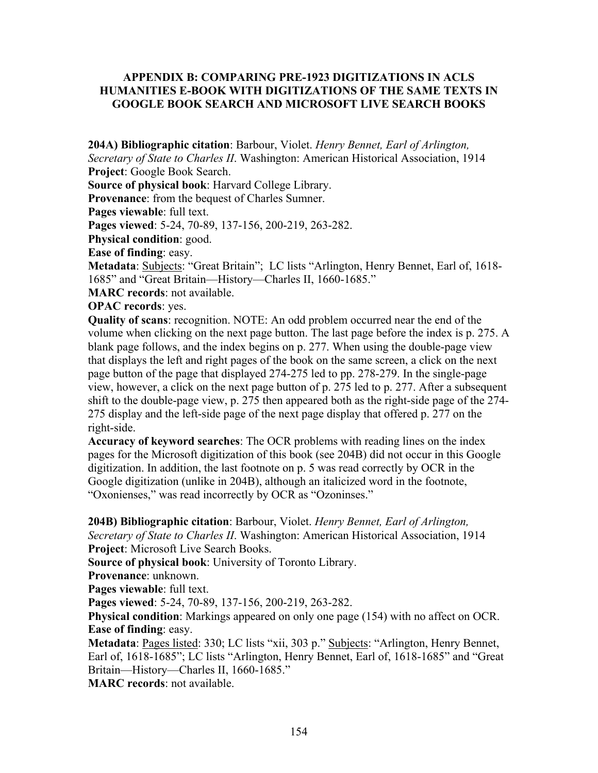# **APPENDIX B: COMPARING PRE-1923 DIGITIZATIONS IN ACLS HUMANITIES E-BOOK WITH DIGITIZATIONS OF THE SAME TEXTS IN GOOGLE BOOK SEARCH AND MICROSOFT LIVE SEARCH BOOKS**

**204A) Bibliographic citation**: Barbour, Violet. *Henry Bennet, Earl of Arlington, Secretary of State to Charles II*. Washington: American Historical Association, 1914

**Project**: Google Book Search.

**Source of physical book**: Harvard College Library.

**Provenance**: from the bequest of Charles Sumner.

**Pages viewable**: full text.

**Pages viewed**: 5-24, 70-89, 137-156, 200-219, 263-282.

**Physical condition**: good.

**Ease of finding**: easy.

**Metadata**: Subjects: "Great Britain"; LC lists "Arlington, Henry Bennet, Earl of, 1618- 1685" and "Great Britain—History—Charles II, 1660-1685."

**MARC records**: not available.

**OPAC records**: yes.

**Quality of scans**: recognition. NOTE: An odd problem occurred near the end of the volume when clicking on the next page button. The last page before the index is p. 275. A blank page follows, and the index begins on p. 277. When using the double-page view that displays the left and right pages of the book on the same screen, a click on the next page button of the page that displayed 274-275 led to pp. 278-279. In the single-page view, however, a click on the next page button of p. 275 led to p. 277. After a subsequent shift to the double-page view, p. 275 then appeared both as the right-side page of the 274- 275 display and the left-side page of the next page display that offered p. 277 on the right-side.

**Accuracy of keyword searches**: The OCR problems with reading lines on the index pages for the Microsoft digitization of this book (see 204B) did not occur in this Google digitization. In addition, the last footnote on p. 5 was read correctly by OCR in the Google digitization (unlike in 204B), although an italicized word in the footnote, "Oxonienses," was read incorrectly by OCR as "Ozoninses."

**204B) Bibliographic citation**: Barbour, Violet. *Henry Bennet, Earl of Arlington,* 

*Secretary of State to Charles II*. Washington: American Historical Association, 1914 **Project**: Microsoft Live Search Books.

**Source of physical book**: University of Toronto Library.

**Provenance**: unknown.

**Pages viewable**: full text.

**Pages viewed**: 5-24, 70-89, 137-156, 200-219, 263-282.

**Physical condition**: Markings appeared on only one page (154) with no affect on OCR. **Ease of finding**: easy.

Metadata: Pages listed: 330; LC lists "xii, 303 p." Subjects: "Arlington, Henry Bennet, Earl of, 1618-1685"; LC lists "Arlington, Henry Bennet, Earl of, 1618-1685" and "Great Britain—History—Charles II, 1660-1685."

**MARC records**: not available.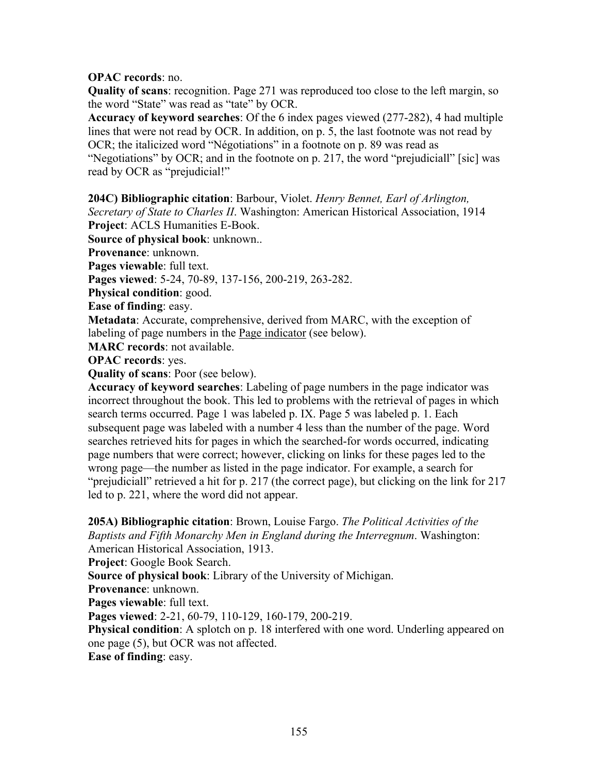# **OPAC records**: no.

**Quality of scans**: recognition. Page 271 was reproduced too close to the left margin, so the word "State" was read as "tate" by OCR.

**Accuracy of keyword searches**: Of the 6 index pages viewed (277-282), 4 had multiple lines that were not read by OCR. In addition, on p. 5, the last footnote was not read by OCR; the italicized word "Négotiations" in a footnote on p. 89 was read as "Negotiations" by OCR; and in the footnote on p. 217, the word "prejudiciall" [sic] was read by OCR as "prejudicial!"

**204C) Bibliographic citation**: Barbour, Violet. *Henry Bennet, Earl of Arlington,* 

*Secretary of State to Charles II*. Washington: American Historical Association, 1914 **Project**: ACLS Humanities E-Book.

**Source of physical book**: unknown..

**Provenance**: unknown.

**Pages viewable**: full text.

**Pages viewed**: 5-24, 70-89, 137-156, 200-219, 263-282.

**Physical condition**: good.

**Ease of finding**: easy.

**Metadata**: Accurate, comprehensive, derived from MARC, with the exception of labeling of page numbers in the Page indicator (see below).

**MARC records**: not available.

**OPAC records**: yes.

**Quality of scans**: Poor (see below).

**Accuracy of keyword searches**: Labeling of page numbers in the page indicator was incorrect throughout the book. This led to problems with the retrieval of pages in which search terms occurred. Page 1 was labeled p. IX. Page 5 was labeled p. 1. Each subsequent page was labeled with a number 4 less than the number of the page. Word searches retrieved hits for pages in which the searched-for words occurred, indicating page numbers that were correct; however, clicking on links for these pages led to the wrong page—the number as listed in the page indicator. For example, a search for "prejudiciall" retrieved a hit for p. 217 (the correct page), but clicking on the link for 217 led to p. 221, where the word did not appear.

**205A) Bibliographic citation**: Brown, Louise Fargo. *The Political Activities of the Baptists and Fifth Monarchy Men in England during the Interregnum*. Washington:

American Historical Association, 1913.

**Project**: Google Book Search.

**Source of physical book**: Library of the University of Michigan.

**Provenance**: unknown.

**Pages viewable**: full text.

**Pages viewed**: 2-21, 60-79, 110-129, 160-179, 200-219.

**Physical condition**: A splotch on p. 18 interfered with one word. Underling appeared on one page (5), but OCR was not affected.

**Ease of finding**: easy.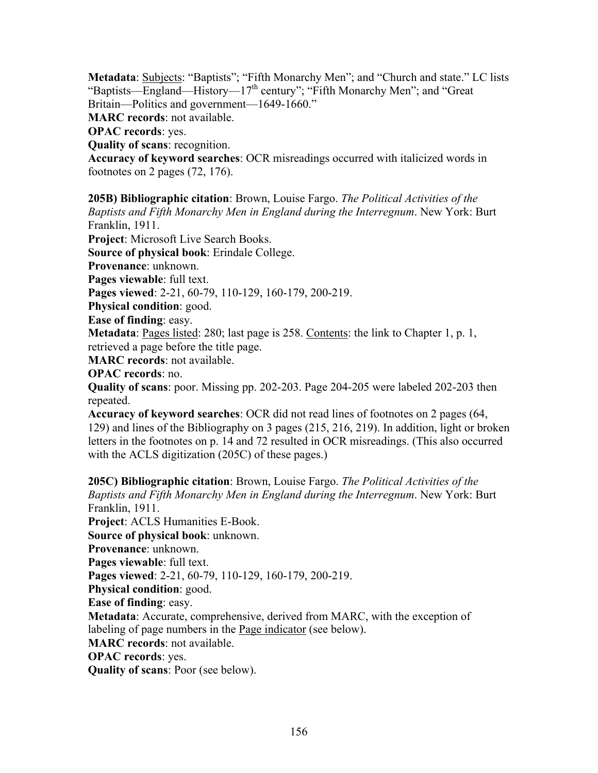**Metadata**: Subjects: "Baptists"; "Fifth Monarchy Men"; and "Church and state." LC lists "Baptists—England—History—17<sup>th</sup> century"; "Fifth Monarchy Men"; and "Great

Britain—Politics and government—1649-1660."

**MARC records**: not available.

**OPAC records**: yes.

**Quality of scans**: recognition.

**Accuracy of keyword searches**: OCR misreadings occurred with italicized words in footnotes on 2 pages (72, 176).

**205B) Bibliographic citation**: Brown, Louise Fargo. *The Political Activities of the Baptists and Fifth Monarchy Men in England during the Interregnum*. New York: Burt Franklin, 1911.

**Project**: Microsoft Live Search Books.

**Source of physical book**: Erindale College.

**Provenance**: unknown.

**Pages viewable**: full text.

**Pages viewed**: 2-21, 60-79, 110-129, 160-179, 200-219.

**Physical condition**: good.

**Ease of finding**: easy.

**Metadata**: Pages listed: 280; last page is 258. Contents: the link to Chapter 1, p. 1, retrieved a page before the title page.

**MARC records**: not available.

**OPAC records**: no.

**Quality of scans**: poor. Missing pp. 202-203. Page 204-205 were labeled 202-203 then repeated.

**Accuracy of keyword searches**: OCR did not read lines of footnotes on 2 pages (64, 129) and lines of the Bibliography on 3 pages (215, 216, 219). In addition, light or broken letters in the footnotes on p. 14 and 72 resulted in OCR misreadings. (This also occurred with the ACLS digitization (205C) of these pages.)

**205C) Bibliographic citation**: Brown, Louise Fargo. *The Political Activities of the Baptists and Fifth Monarchy Men in England during the Interregnum*. New York: Burt Franklin, 1911. **Project**: ACLS Humanities E-Book. **Source of physical book**: unknown. **Provenance**: unknown. **Pages viewable**: full text. **Pages viewed**: 2-21, 60-79, 110-129, 160-179, 200-219. **Physical condition**: good. **Ease of finding**: easy. **Metadata**: Accurate, comprehensive, derived from MARC, with the exception of labeling of page numbers in the Page indicator (see below). **MARC records**: not available. **OPAC records**: yes. **Quality of scans**: Poor (see below).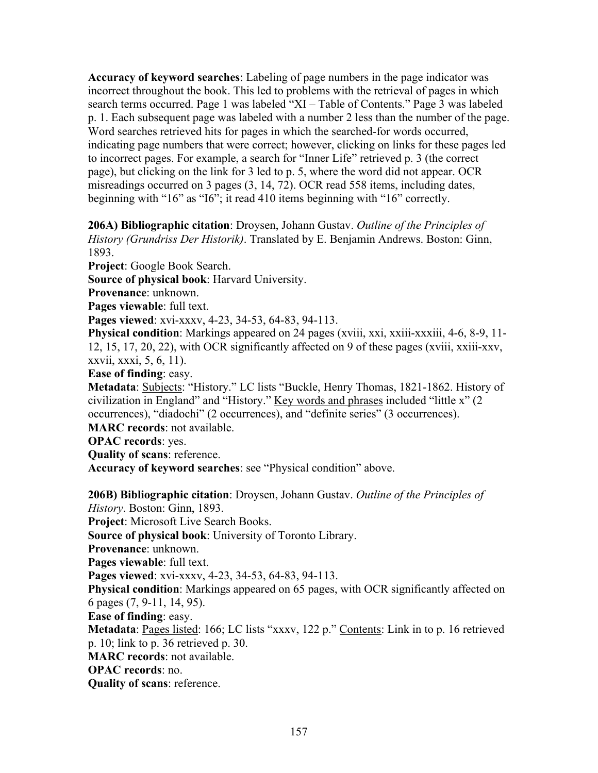**Accuracy of keyword searches**: Labeling of page numbers in the page indicator was incorrect throughout the book. This led to problems with the retrieval of pages in which search terms occurred. Page 1 was labeled "XI – Table of Contents." Page 3 was labeled p. 1. Each subsequent page was labeled with a number 2 less than the number of the page. Word searches retrieved hits for pages in which the searched-for words occurred, indicating page numbers that were correct; however, clicking on links for these pages led to incorrect pages. For example, a search for "Inner Life" retrieved p. 3 (the correct page), but clicking on the link for 3 led to p. 5, where the word did not appear. OCR misreadings occurred on 3 pages (3, 14, 72). OCR read 558 items, including dates, beginning with "16" as "I6"; it read 410 items beginning with "16" correctly.

**206A) Bibliographic citation**: Droysen, Johann Gustav. *Outline of the Principles of History (Grundriss Der Historik)*. Translated by E. Benjamin Andrews. Boston: Ginn, 1893.

**Project**: Google Book Search.

**Source of physical book**: Harvard University.

**Provenance**: unknown.

**Pages viewable**: full text.

**Pages viewed**: xvi-xxxv, 4-23, 34-53, 64-83, 94-113.

**Physical condition**: Markings appeared on 24 pages (xviii, xxi, xxiii-xxxiii, 4-6, 8-9, 11- 12, 15, 17, 20, 22), with OCR significantly affected on 9 of these pages (xviii, xxiii-xxv, xxvii, xxxi, 5, 6, 11).

**Ease of finding**: easy.

**Metadata**: Subjects: "History." LC lists "Buckle, Henry Thomas, 1821-1862. History of civilization in England" and "History." Key words and phrases included "little x" (2 occurrences), "diadochi" (2 occurrences), and "definite series" (3 occurrences). **MARC records**: not available.

**OPAC records**: yes.

**Quality of scans**: reference.

**Accuracy of keyword searches**: see "Physical condition" above.

**206B) Bibliographic citation**: Droysen, Johann Gustav. *Outline of the Principles of History*. Boston: Ginn, 1893.

**Project**: Microsoft Live Search Books.

**Source of physical book**: University of Toronto Library.

**Provenance**: unknown.

**Pages viewable**: full text.

**Pages viewed**: xvi-xxxv, 4-23, 34-53, 64-83, 94-113.

**Physical condition**: Markings appeared on 65 pages, with OCR significantly affected on 6 pages (7, 9-11, 14, 95).

**Ease of finding**: easy.

Metadata: Pages listed: 166; LC lists "xxxv, 122 p." Contents: Link in to p. 16 retrieved p. 10; link to p. 36 retrieved p. 30.

**MARC records**: not available.

**OPAC records**: no.

**Quality of scans**: reference.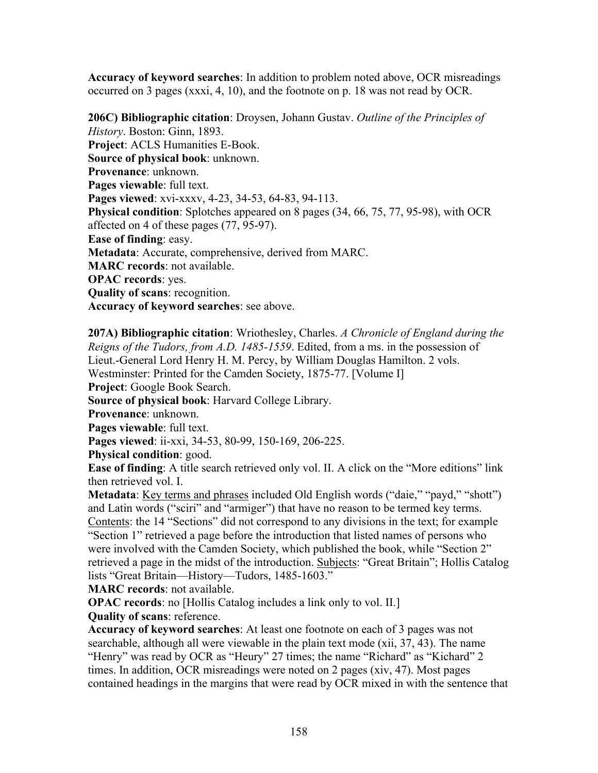**Accuracy of keyword searches**: In addition to problem noted above, OCR misreadings occurred on 3 pages (xxxi, 4, 10), and the footnote on p. 18 was not read by OCR.

**206C) Bibliographic citation**: Droysen, Johann Gustav. *Outline of the Principles of History*. Boston: Ginn, 1893. **Project**: ACLS Humanities E-Book. **Source of physical book**: unknown. **Provenance**: unknown. **Pages viewable**: full text. **Pages viewed**: xvi-xxxv, 4-23, 34-53, 64-83, 94-113. **Physical condition**: Splotches appeared on 8 pages (34, 66, 75, 77, 95-98), with OCR affected on 4 of these pages (77, 95-97). **Ease of finding**: easy. **Metadata**: Accurate, comprehensive, derived from MARC. **MARC records**: not available. **OPAC records**: yes. **Quality of scans**: recognition. **Accuracy of keyword searches**: see above.

**207A) Bibliographic citation**: Wriothesley, Charles. *A Chronicle of England during the Reigns of the Tudors, from A.D. 1485-1559*. Edited, from a ms. in the possession of Lieut.-General Lord Henry H. M. Percy, by William Douglas Hamilton. 2 vols. Westminster: Printed for the Camden Society, 1875-77. [Volume I] **Project**: Google Book Search. **Source of physical book**: Harvard College Library. **Provenance**: unknown. **Pages viewable**: full text. **Pages viewed**: ii-xxi, 34-53, 80-99, 150-169, 206-225. **Physical condition**: good.

**Ease of finding**: A title search retrieved only vol. II. A click on the "More editions" link then retrieved vol. I.

**Metadata**: <u>Key terms and phrases</u> included Old English words ("daie," "payd," "shott") and Latin words ("sciri" and "armiger") that have no reason to be termed key terms. Contents: the 14 "Sections" did not correspond to any divisions in the text; for example "Section 1" retrieved a page before the introduction that listed names of persons who were involved with the Camden Society, which published the book, while "Section 2" retrieved a page in the midst of the introduction. Subjects: "Great Britain"; Hollis Catalog lists "Great Britain—History—Tudors, 1485-1603."

**MARC records**: not available.

**OPAC records**: no [Hollis Catalog includes a link only to vol. II.]

**Quality of scans**: reference.

**Accuracy of keyword searches**: At least one footnote on each of 3 pages was not searchable, although all were viewable in the plain text mode (xii, 37, 43). The name "Henry" was read by OCR as "Heury" 27 times; the name "Richard" as "Kichard" 2 times. In addition, OCR misreadings were noted on 2 pages (xiv, 47). Most pages contained headings in the margins that were read by OCR mixed in with the sentence that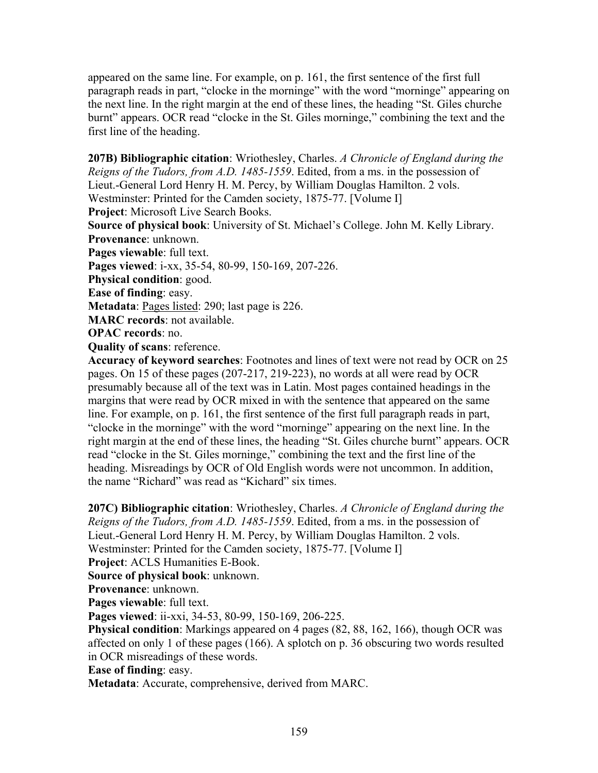appeared on the same line. For example, on p. 161, the first sentence of the first full paragraph reads in part, "clocke in the morninge" with the word "morninge" appearing on the next line. In the right margin at the end of these lines, the heading "St. Giles churche burnt" appears. OCR read "clocke in the St. Giles morninge," combining the text and the first line of the heading.

**207B) Bibliographic citation**: Wriothesley, Charles. *A Chronicle of England during the Reigns of the Tudors, from A.D. 1485-1559*. Edited, from a ms. in the possession of Lieut.-General Lord Henry H. M. Percy, by William Douglas Hamilton. 2 vols. Westminster: Printed for the Camden society, 1875-77. [Volume I] **Project**: Microsoft Live Search Books. **Source of physical book**: University of St. Michael's College. John M. Kelly Library. **Provenance**: unknown. Pages viewable: full text. **Pages viewed**: i-xx, 35-54, 80-99, 150-169, 207-226. **Physical condition**: good. **Ease of finding**: easy.

**Metadata**: Pages listed: 290; last page is 226.

**MARC records**: not available.

**OPAC records**: no.

**Quality of scans**: reference.

**Accuracy of keyword searches**: Footnotes and lines of text were not read by OCR on 25 pages. On 15 of these pages (207-217, 219-223), no words at all were read by OCR presumably because all of the text was in Latin. Most pages contained headings in the margins that were read by OCR mixed in with the sentence that appeared on the same line. For example, on p. 161, the first sentence of the first full paragraph reads in part, "clocke in the morninge" with the word "morninge" appearing on the next line. In the right margin at the end of these lines, the heading "St. Giles churche burnt" appears. OCR read "clocke in the St. Giles morninge," combining the text and the first line of the heading. Misreadings by OCR of Old English words were not uncommon. In addition, the name "Richard" was read as "Kichard" six times.

**207C) Bibliographic citation**: Wriothesley, Charles. *A Chronicle of England during the Reigns of the Tudors, from A.D. 1485-1559*. Edited, from a ms. in the possession of Lieut.-General Lord Henry H. M. Percy, by William Douglas Hamilton. 2 vols. Westminster: Printed for the Camden society, 1875-77. [Volume I] **Project**: ACLS Humanities E-Book.

**Source of physical book**: unknown.

**Provenance**: unknown.

Pages viewable: full text.

**Pages viewed**: ii-xxi, 34-53, 80-99, 150-169, 206-225.

**Physical condition**: Markings appeared on 4 pages (82, 88, 162, 166), though OCR was affected on only 1 of these pages (166). A splotch on p. 36 obscuring two words resulted in OCR misreadings of these words.

**Ease of finding**: easy.

**Metadata**: Accurate, comprehensive, derived from MARC.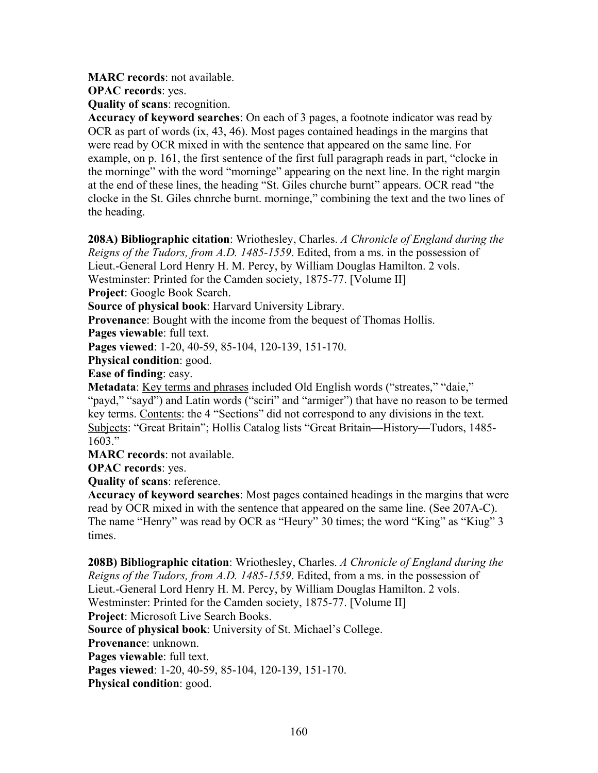**MARC records**: not available.

**OPAC records**: yes.

**Quality of scans**: recognition.

**Accuracy of keyword searches**: On each of 3 pages, a footnote indicator was read by OCR as part of words (ix, 43, 46). Most pages contained headings in the margins that were read by OCR mixed in with the sentence that appeared on the same line. For example, on p. 161, the first sentence of the first full paragraph reads in part, "clocke in the morninge" with the word "morninge" appearing on the next line. In the right margin at the end of these lines, the heading "St. Giles churche burnt" appears. OCR read "the clocke in the St. Giles chnrche burnt. morninge," combining the text and the two lines of the heading.

**208A) Bibliographic citation**: Wriothesley, Charles. *A Chronicle of England during the Reigns of the Tudors, from A.D. 1485-1559*. Edited, from a ms. in the possession of Lieut.-General Lord Henry H. M. Percy, by William Douglas Hamilton. 2 vols. Westminster: Printed for the Camden society, 1875-77. [Volume II] **Project**: Google Book Search.

**Source of physical book**: Harvard University Library.

**Provenance**: Bought with the income from the bequest of Thomas Hollis.

**Pages viewable**: full text.

**Pages viewed**: 1-20, 40-59, 85-104, 120-139, 151-170.

**Physical condition**: good.

**Ease of finding**: easy.

**Metadata**: Key terms and phrases included Old English words ("streates," "daie," "payd," "sayd") and Latin words ("sciri" and "armiger") that have no reason to be termed key terms. Contents: the 4 "Sections" did not correspond to any divisions in the text. Subjects: "Great Britain"; Hollis Catalog lists "Great Britain—History—Tudors, 1485- 1603."

**MARC records**: not available.

**OPAC records**: yes.

**Quality of scans**: reference.

**Accuracy of keyword searches**: Most pages contained headings in the margins that were read by OCR mixed in with the sentence that appeared on the same line. (See 207A-C). The name "Henry" was read by OCR as "Heury" 30 times; the word "King" as "Kiug" 3 times.

**208B) Bibliographic citation**: Wriothesley, Charles. *A Chronicle of England during the Reigns of the Tudors, from A.D. 1485-1559*. Edited, from a ms. in the possession of Lieut.-General Lord Henry H. M. Percy, by William Douglas Hamilton. 2 vols. Westminster: Printed for the Camden society, 1875-77. [Volume II] **Project**: Microsoft Live Search Books. **Source of physical book**: University of St. Michael's College. **Provenance**: unknown. **Pages viewable**: full text. **Pages viewed**: 1-20, 40-59, 85-104, 120-139, 151-170.

**Physical condition**: good.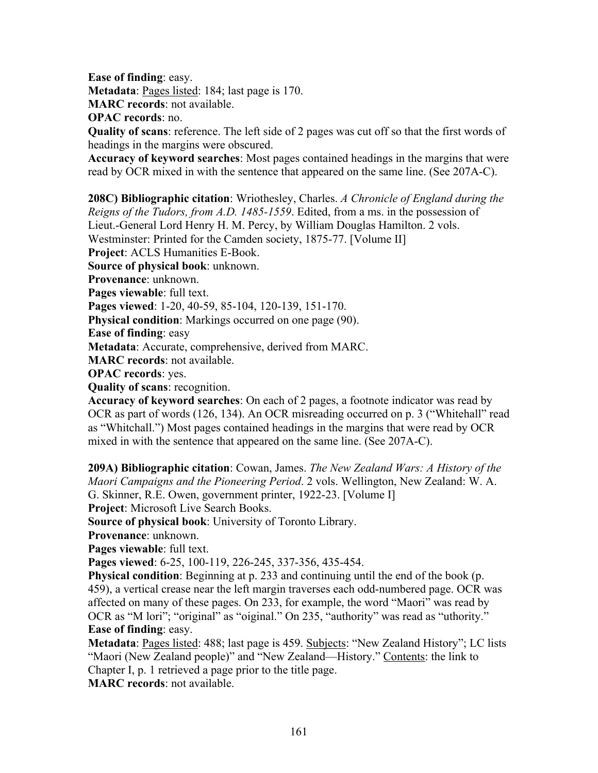**Ease of finding**: easy.

**Metadata**: Pages listed: 184; last page is 170.

**MARC records**: not available.

**OPAC records**: no.

**Quality of scans**: reference. The left side of 2 pages was cut off so that the first words of headings in the margins were obscured.

**Accuracy of keyword searches**: Most pages contained headings in the margins that were read by OCR mixed in with the sentence that appeared on the same line. (See 207A-C).

**208C) Bibliographic citation**: Wriothesley, Charles. *A Chronicle of England during the Reigns of the Tudors, from A.D. 1485-1559*. Edited, from a ms. in the possession of Lieut.-General Lord Henry H. M. Percy, by William Douglas Hamilton. 2 vols.

Westminster: Printed for the Camden society, 1875-77. [Volume II]

**Project**: ACLS Humanities E-Book.

**Source of physical book**: unknown.

**Provenance**: unknown.

**Pages viewable**: full text.

**Pages viewed**: 1-20, 40-59, 85-104, 120-139, 151-170.

**Physical condition**: Markings occurred on one page (90).

**Ease of finding**: easy

**Metadata**: Accurate, comprehensive, derived from MARC.

**MARC records**: not available.

**OPAC records**: yes.

**Quality of scans**: recognition.

**Accuracy of keyword searches**: On each of 2 pages, a footnote indicator was read by OCR as part of words (126, 134). An OCR misreading occurred on p. 3 ("Whitehall" read as "Whitchall.") Most pages contained headings in the margins that were read by OCR mixed in with the sentence that appeared on the same line. (See 207A-C).

**209A) Bibliographic citation**: Cowan, James. *The New Zealand Wars: A History of the Maori Campaigns and the Pioneering Period*. 2 vols. Wellington, New Zealand: W. A. G. Skinner, R.E. Owen, government printer, 1922-23. [Volume I]

**Project**: Microsoft Live Search Books.

**Source of physical book**: University of Toronto Library.

**Provenance**: unknown.

**Pages viewable**: full text.

**Pages viewed**: 6-25, 100-119, 226-245, 337-356, 435-454.

**Physical condition**: Beginning at p. 233 and continuing until the end of the book (p. 459), a vertical crease near the left margin traverses each odd-numbered page. OCR was affected on many of these pages. On 233, for example, the word "Maori" was read by OCR as "M lori"; "original" as "oiginal." On 235, "authority" was read as "uthority." **Ease of finding**: easy.

**Metadata**: Pages listed: 488; last page is 459. Subjects: "New Zealand History"; LC lists "Maori (New Zealand people)" and "New Zealand—History." Contents: the link to Chapter I, p. 1 retrieved a page prior to the title page.

**MARC records**: not available.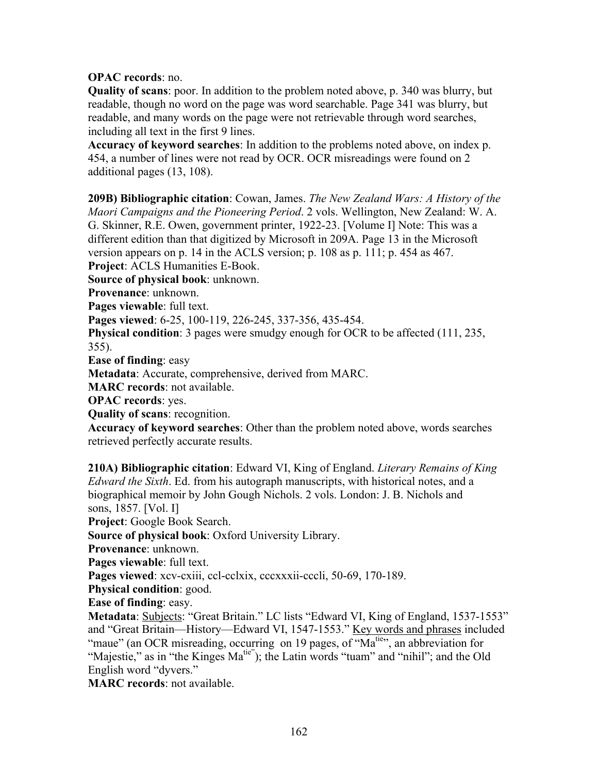# **OPAC records**: no.

**Quality of scans**: poor. In addition to the problem noted above, p. 340 was blurry, but readable, though no word on the page was word searchable. Page 341 was blurry, but readable, and many words on the page were not retrievable through word searches, including all text in the first 9 lines.

**Accuracy of keyword searches**: In addition to the problems noted above, on index p. 454, a number of lines were not read by OCR. OCR misreadings were found on 2 additional pages (13, 108).

**209B) Bibliographic citation**: Cowan, James. *The New Zealand Wars: A History of the Maori Campaigns and the Pioneering Period*. 2 vols. Wellington, New Zealand: W. A. G. Skinner, R.E. Owen, government printer, 1922-23. [Volume I] Note: This was a different edition than that digitized by Microsoft in 209A. Page 13 in the Microsoft version appears on p. 14 in the ACLS version; p. 108 as p. 111; p. 454 as 467. **Project**: ACLS Humanities E-Book.

**Source of physical book**: unknown.

**Provenance**: unknown.

**Pages viewable**: full text.

**Pages viewed**: 6-25, 100-119, 226-245, 337-356, 435-454.

**Physical condition**: 3 pages were smudgy enough for OCR to be affected (111, 235, 355).

**Ease of finding**: easy

**Metadata**: Accurate, comprehensive, derived from MARC.

**MARC records**: not available.

**OPAC records**: yes.

**Quality of scans**: recognition.

**Accuracy of keyword searches**: Other than the problem noted above, words searches retrieved perfectly accurate results.

**210A) Bibliographic citation**: Edward VI, King of England. *Literary Remains of King Edward the Sixth*. Ed. from his autograph manuscripts, with historical notes, and a biographical memoir by John Gough Nichols. 2 vols. London: J. B. Nichols and sons, 1857. [Vol. I]

**Project**: Google Book Search.

**Source of physical book**: Oxford University Library.

**Provenance**: unknown.

**Pages viewable**: full text.

**Pages viewed**: xcv-cxiii, ccl-cclxix, cccxxxii-cccli, 50-69, 170-189.

**Physical condition**: good.

**Ease of finding**: easy.

**Metadata**: **Subjects**: "Great Britain." LC lists "Edward VI, King of England, 1537-1553" and "Great Britain—History—Edward VI, 1547-1553." Key words and phrases included "maue" (an OCR misreading, occurring on 19 pages, of "Ma<sup>ties</sup>", an abbreviation for "Majestie," as in "the Kinges  $Ma<sup>tie</sup>$ "); the Latin words "tuam" and "nihil"; and the Old English word "dyvers."

**MARC records**: not available.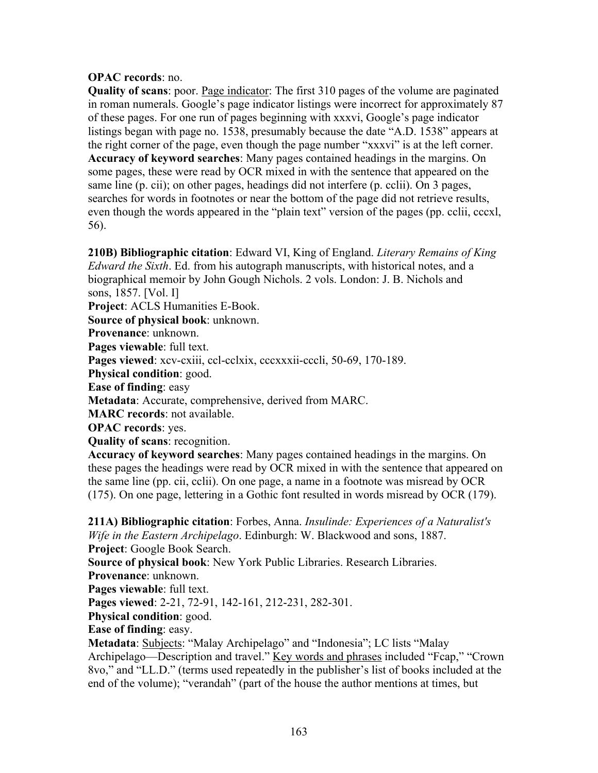# **OPAC records**: no.

**Quality of scans**: poor. <u>Page indicator</u>: The first 310 pages of the volume are paginated in roman numerals. Google's page indicator listings were incorrect for approximately 87 of these pages. For one run of pages beginning with xxxvi, Google's page indicator listings began with page no. 1538, presumably because the date "A.D. 1538" appears at the right corner of the page, even though the page number "xxxvi" is at the left corner. **Accuracy of keyword searches**: Many pages contained headings in the margins. On some pages, these were read by OCR mixed in with the sentence that appeared on the same line (p. cii); on other pages, headings did not interfere (p. cclii). On 3 pages, searches for words in footnotes or near the bottom of the page did not retrieve results, even though the words appeared in the "plain text" version of the pages (pp. cclii, cccxl, 56).

**210B) Bibliographic citation**: Edward VI, King of England. *Literary Remains of King Edward the Sixth*. Ed. from his autograph manuscripts, with historical notes, and a biographical memoir by John Gough Nichols. 2 vols. London: J. B. Nichols and sons, 1857. [Vol. I]

**Project**: ACLS Humanities E-Book.

**Source of physical book**: unknown.

**Provenance**: unknown.

**Pages viewable**: full text.

**Pages viewed**: xcv-cxiii, ccl-cclxix, cccxxxii-cccli, 50-69, 170-189.

**Physical condition**: good.

**Ease of finding**: easy

**Metadata**: Accurate, comprehensive, derived from MARC.

**MARC records**: not available.

**OPAC records**: yes.

**Quality of scans**: recognition.

**Accuracy of keyword searches**: Many pages contained headings in the margins. On these pages the headings were read by OCR mixed in with the sentence that appeared on the same line (pp. cii, cclii). On one page, a name in a footnote was misread by OCR (175). On one page, lettering in a Gothic font resulted in words misread by OCR (179).

**211A) Bibliographic citation**: Forbes, Anna. *Insulinde: Experiences of a Naturalist's Wife in the Eastern Archipelago*. Edinburgh: W. Blackwood and sons, 1887.

**Project**: Google Book Search. **Source of physical book**: New York Public Libraries. Research Libraries.

**Provenance**: unknown.

**Pages viewable**: full text.

**Pages viewed**: 2-21, 72-91, 142-161, 212-231, 282-301.

**Physical condition**: good.

**Ease of finding**: easy.

**Metadata**: **Subjects**: "Malay Archipelago" and "Indonesia"; LC lists "Malay Archipelago—Description and travel." Key words and phrases included "Fcap," "Crown 8vo," and "LL.D." (terms used repeatedly in the publisher's list of books included at the end of the volume); "verandah" (part of the house the author mentions at times, but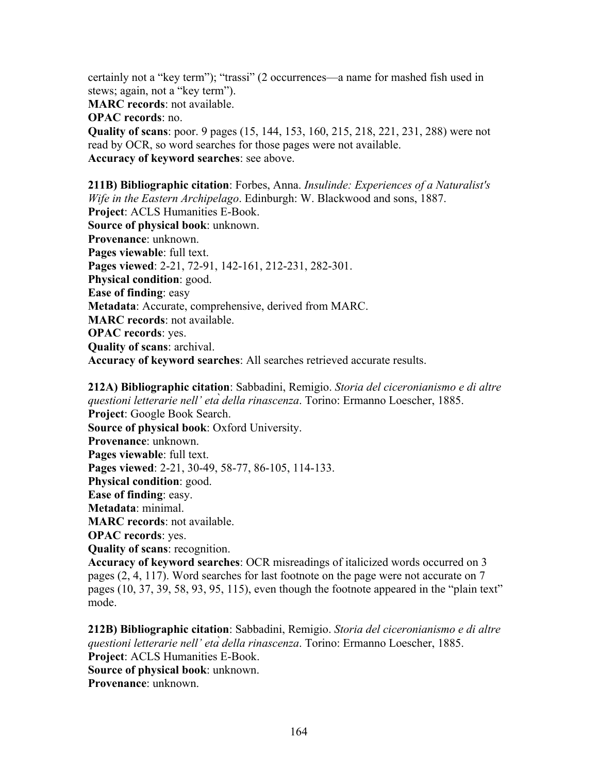certainly not a "key term"); "trassi" (2 occurrences—a name for mashed fish used in stews; again, not a "key term").

**MARC records**: not available.

**OPAC records**: no.

**Quality of scans**: poor. 9 pages (15, 144, 153, 160, 215, 218, 221, 231, 288) were not read by OCR, so word searches for those pages were not available. **Accuracy of keyword searches**: see above.

**211B) Bibliographic citation**: Forbes, Anna. *Insulinde: Experiences of a Naturalist's Wife in the Eastern Archipelago*. Edinburgh: W. Blackwood and sons, 1887. **Project**: ACLS Humanities E-Book. **Source of physical book**: unknown. **Provenance**: unknown. **Pages viewable**: full text. **Pages viewed**: 2-21, 72-91, 142-161, 212-231, 282-301. **Physical condition**: good. **Ease of finding**: easy **Metadata**: Accurate, comprehensive, derived from MARC. **MARC records**: not available. **OPAC records**: yes. **Quality of scans**: archival. **Accuracy of keyword searches**: All searches retrieved accurate results.

**212A) Bibliographic citation**: Sabbadini, Remigio. *Storia del ciceronianismo e di altre questioni letterarie nell' età della rinascenza*. Torino: Ermanno Loescher, 1885. **Project**: Google Book Search. **Source of physical book**: Oxford University. **Provenance**: unknown. **Pages viewable**: full text. **Pages viewed**: 2-21, 30-49, 58-77, 86-105, 114-133. **Physical condition**: good. **Ease of finding**: easy. **Metadata**: minimal. **MARC records**: not available. **OPAC records**: yes. **Quality of scans**: recognition. **Accuracy of keyword searches**: OCR misreadings of italicized words occurred on 3

pages (2, 4, 117). Word searches for last footnote on the page were not accurate on 7 pages (10, 37, 39, 58, 93, 95, 115), even though the footnote appeared in the "plain text" mode.

**212B) Bibliographic citation**: Sabbadini, Remigio. *Storia del ciceronianismo e di altre questioni letterarie nell' età della rinascenza*. Torino: Ermanno Loescher, 1885. **Project**: ACLS Humanities E-Book. **Source of physical book**: unknown.

**Provenance**: unknown.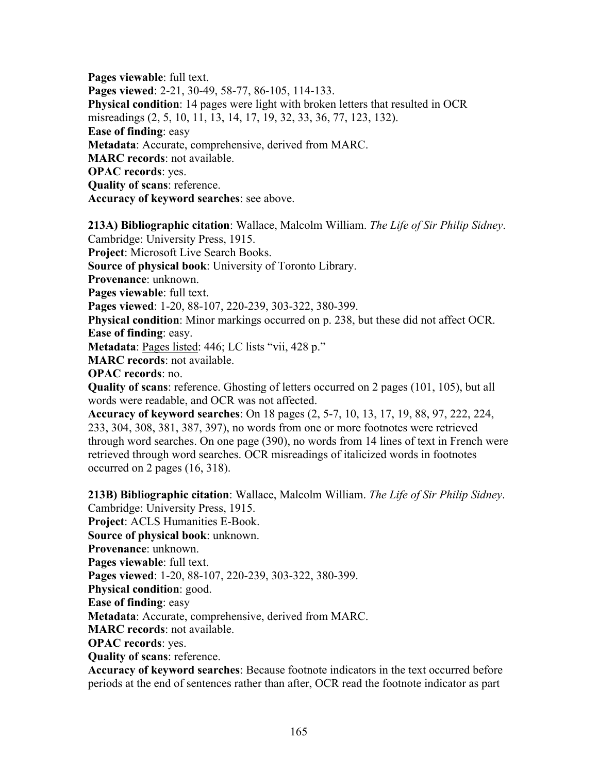**Pages viewable**: full text. **Pages viewed**: 2-21, 30-49, 58-77, 86-105, 114-133. **Physical condition**: 14 pages were light with broken letters that resulted in OCR misreadings (2, 5, 10, 11, 13, 14, 17, 19, 32, 33, 36, 77, 123, 132). **Ease of finding**: easy **Metadata**: Accurate, comprehensive, derived from MARC. **MARC records**: not available. **OPAC records**: yes. **Quality of scans**: reference. **Accuracy of keyword searches**: see above.

**213A) Bibliographic citation**: Wallace, Malcolm William. *The Life of Sir Philip Sidney*.

Cambridge: University Press, 1915.

**Project**: Microsoft Live Search Books.

**Source of physical book**: University of Toronto Library.

**Provenance**: unknown.

**Pages viewable**: full text.

**Pages viewed**: 1-20, 88-107, 220-239, 303-322, 380-399.

**Physical condition**: Minor markings occurred on p. 238, but these did not affect OCR. **Ease of finding**: easy.

**Metadata**: Pages listed: 446; LC lists "vii, 428 p."

**MARC records**: not available.

**OPAC records**: no.

**Quality of scans**: reference. Ghosting of letters occurred on 2 pages (101, 105), but all words were readable, and OCR was not affected.

**Accuracy of keyword searches**: On 18 pages (2, 5-7, 10, 13, 17, 19, 88, 97, 222, 224, 233, 304, 308, 381, 387, 397), no words from one or more footnotes were retrieved through word searches. On one page (390), no words from 14 lines of text in French were retrieved through word searches. OCR misreadings of italicized words in footnotes occurred on 2 pages (16, 318).

**213B) Bibliographic citation**: Wallace, Malcolm William. *The Life of Sir Philip Sidney*.

Cambridge: University Press, 1915.

**Project**: ACLS Humanities E-Book.

**Source of physical book**: unknown.

**Provenance**: unknown.

**Pages viewable**: full text.

**Pages viewed**: 1-20, 88-107, 220-239, 303-322, 380-399.

**Physical condition**: good.

**Ease of finding**: easy

**Metadata**: Accurate, comprehensive, derived from MARC.

**MARC records**: not available.

**OPAC records**: yes.

**Quality of scans**: reference.

**Accuracy of keyword searches**: Because footnote indicators in the text occurred before periods at the end of sentences rather than after, OCR read the footnote indicator as part